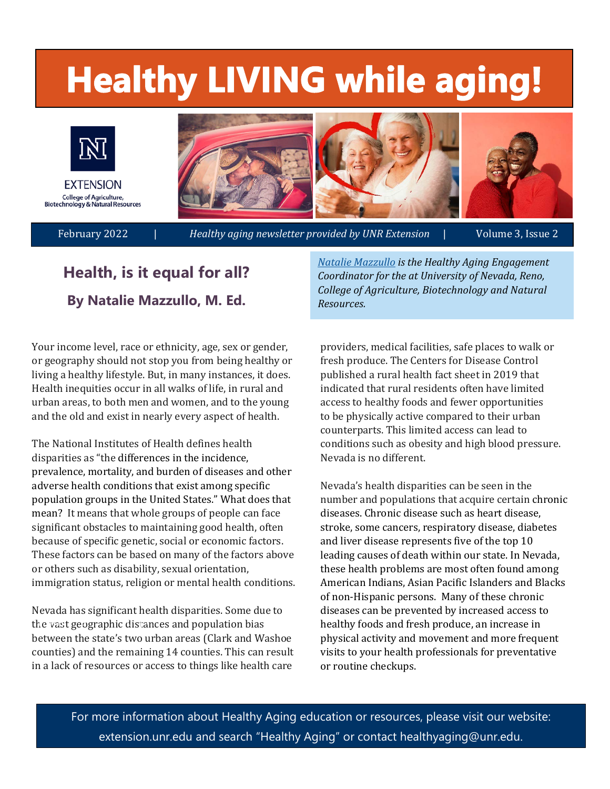# **Healthy LIVING while aging!**



**Health, is it equal for all? By Natalie Mazzullo, M. Ed.** 

*[Natalie Mazzullo](https://extension.unr.edu/profile.aspx?ID=1575) is the Healthy Aging Engagement Coordinator for the at [University of Nevada, Reno,](https://extension.unr.edu/default.aspx)  College of Agriculture, Biotechnology and Natural Resources.* 

Your income level, race or ethnicity, age, sex or gender, or geography should not stop you from being healthy or living a healthy lifestyle. But, in many instances, it does. Health inequities occur in all walks of life, in rural and urban areas, to both men and women, and to the young and the old and exist in nearly every aspect of health.

The National Institutes of Health defines health disparities as "the differences in the incidence, prevalence, mortality, and bur den of diseases and other adverse health conditions that exist among specific population groups in the United States." What does that mean? It means that whole groups of people can face significant obstacles to maintaining good health, often because of specific genetic, social or economic factors. These factors can be based on many of the factors above or others such as disability, sexual orientation, immigration status, religion or mental health conditions.

Nevada has significant health disparities. Some due to the vast geographic distances and population bias between the state's two urban areas (Clark and Washoe counties) and the remaining 14 counties. This can result in a lack of resources or access to things like health care

providers, medical facilities, safe places to walk or fresh produce. The Centers for Disease Control published a rural health fact sheet in 2019 that indicated that rural residents often have limited access to healthy foods and fewer opportunities to be physically active compared to their urban counterparts. This limited access can lead to conditions such as obesity and high blood pressure. Nevada is no different.

Nevada's health disparities can be seen in the number and populations that acquire certain chronic diseases. Chronic disease such as heart disease, stroke, some cancers, respiratory disease, diabetes and liver disease represents five of the top 10 leading causes of death within our state. In Nevada, these health problems are most often found among American Indians, Asian Pacific Islanders and Blacks of non-Hispanic persons. Many of these chronic diseases can be prevented by increased access to healthy foods and fresh produce, an increase in physical activity and movement and more frequent visits to your health professionals for preventative or routine checkups.

For more information about Healthy Aging education or resources, please visit our website: extension.unr.edu and search "Healthy Aging" or contact healthyaging@unr.edu.